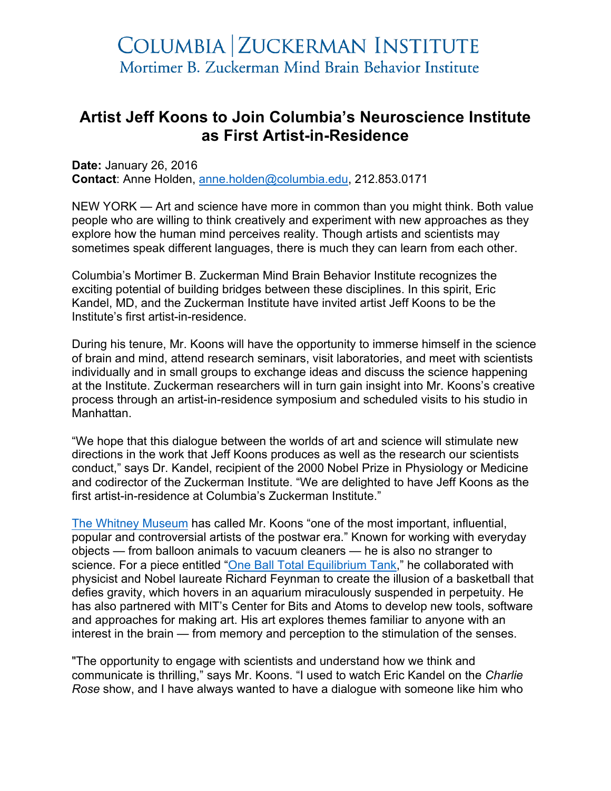## **Artist Jeff Koons to Join Columbia's Neuroscience Institute as First Artist-in-Residence**

**Date:** January 26, 2016 **Contact**: Anne Holden, anne.holden@columbia.edu, 212.853.0171

NEW YORK — Art and science have more in common than you might think. Both value people who are willing to think creatively and experiment with new approaches as they explore how the human mind perceives reality. Though artists and scientists may sometimes speak different languages, there is much they can learn from each other.

Columbia's Mortimer B. Zuckerman Mind Brain Behavior Institute recognizes the exciting potential of building bridges between these disciplines. In this spirit, Eric Kandel, MD, and the Zuckerman Institute have invited artist Jeff Koons to be the Institute's first artist-in-residence.

During his tenure, Mr. Koons will have the opportunity to immerse himself in the science of brain and mind, attend research seminars, visit laboratories, and meet with scientists individually and in small groups to exchange ideas and discuss the science happening at the Institute. Zuckerman researchers will in turn gain insight into Mr. Koons's creative process through an artist-in-residence symposium and scheduled visits to his studio in Manhattan.

"We hope that this dialogue between the worlds of art and science will stimulate new directions in the work that Jeff Koons produces as well as the research our scientists conduct," says Dr. Kandel, recipient of the 2000 Nobel Prize in Physiology or Medicine and codirector of the Zuckerman Institute. "We are delighted to have Jeff Koons as the first artist-in-residence at Columbia's Zuckerman Institute."

The Whitney Museum has called Mr. Koons "one of the most important, influential, popular and controversial artists of the postwar era." Known for working with everyday objects — from balloon animals to vacuum cleaners — he is also no stranger to science. For a piece entitled "One Ball Total Equilibrium Tank," he collaborated with physicist and Nobel laureate Richard Feynman to create the illusion of a basketball that defies gravity, which hovers in an aquarium miraculously suspended in perpetuity. He has also partnered with MIT's Center for Bits and Atoms to develop new tools, software and approaches for making art. His art explores themes familiar to anyone with an interest in the brain — from memory and perception to the stimulation of the senses.

"The opportunity to engage with scientists and understand how we think and communicate is thrilling," says Mr. Koons. "I used to watch Eric Kandel on the *Charlie Rose* show, and I have always wanted to have a dialogue with someone like him who